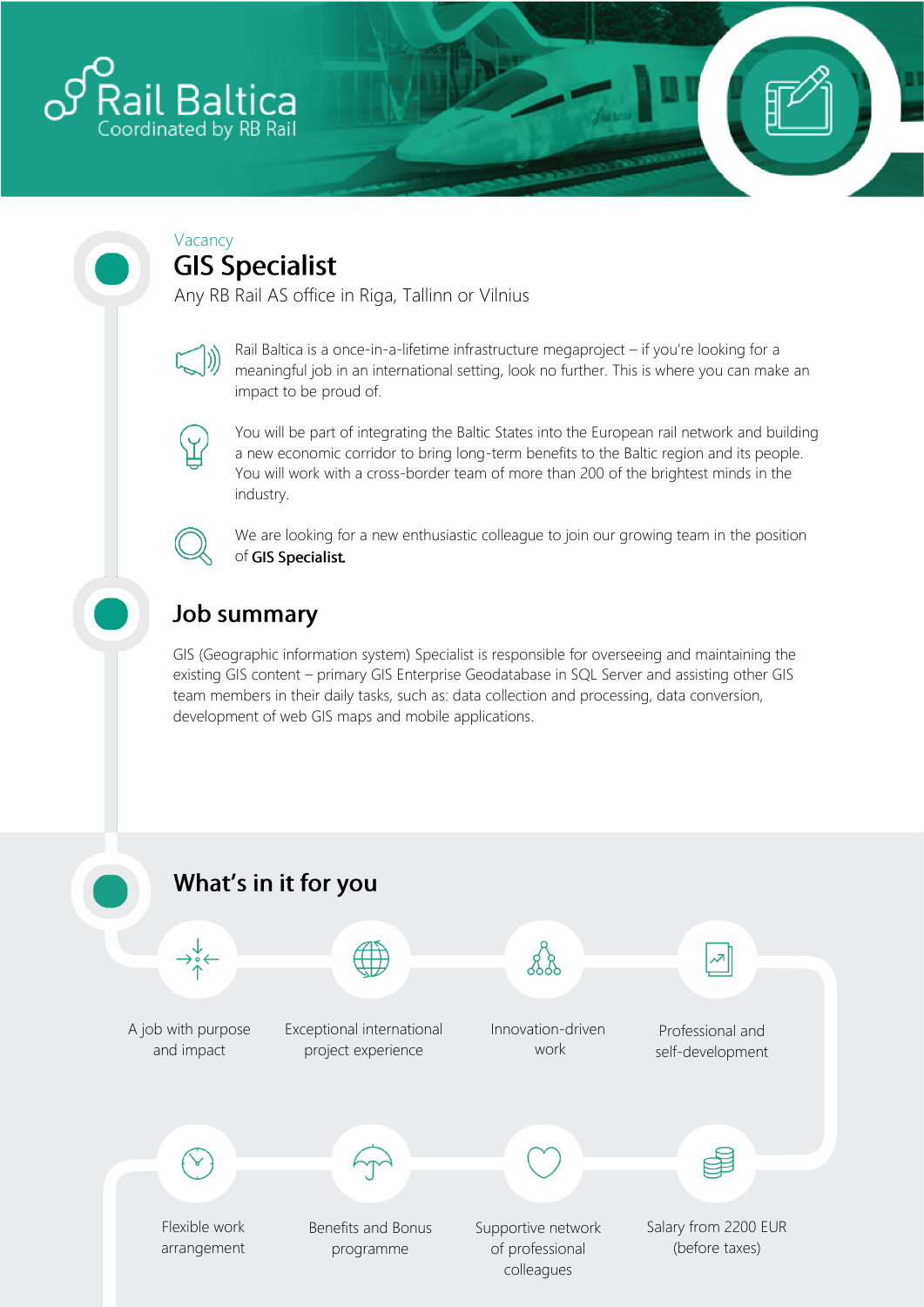

#### Vacancy **GIS Specialist**

Any RB Rail AS office in Riga, Tallinn or Vilnius



Rail Baltica is a once-in-a-lifetime infrastructure megaproject – if you're looking for a meaningful job in an international setting, look no further. This is where you can make an impact to be proud of.



You will be part of integrating the Baltic States into the European rail network and building a new economic corridor to bring long-term benefits to the Baltic region and its people. You will work with a cross-border team of more than 200 of the brightest minds in the industry.



We are looking for a new enthusiastic colleague to join our growing team in the position of GIS Specialist.

# **Job summary**

GIS (Geographic information system) Specialist is responsible for overseeing and maintaining the existing GIS content – primary GIS Enterprise Geodatabase in SQL Server and assisting other GIS team members in their daily tasks, such as: data collection and processing, data conversion, development of web GIS maps and mobile applications.